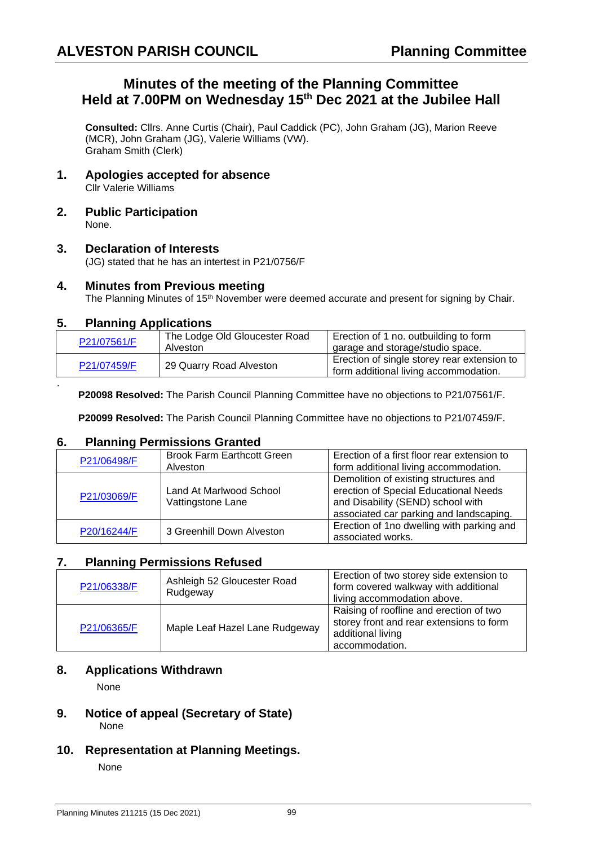# **Minutes of the meeting of the Planning Committee Held at 7.00PM on Wednesday 15 th Dec 2021 at the Jubilee Hall**

**Consulted:** Cllrs. Anne Curtis (Chair), Paul Caddick (PC), John Graham (JG), Marion Reeve (MCR), John Graham (JG), Valerie Williams (VW). Graham Smith (Clerk)

- **1. Apologies accepted for absence** Cllr Valerie Williams
- **2. Public Participation** None.

## **3. Declaration of Interests**

(JG) stated that he has an intertest in P21/0756/F

#### **4. Minutes from Previous meeting**

The Planning Minutes of 15<sup>th</sup> November were deemed accurate and present for signing by Chair.

#### **5. Planning Applications**

.

| P21/07561/F | The Lodge Old Gloucester Road | Erection of 1 no. outbuilding to form       |
|-------------|-------------------------------|---------------------------------------------|
|             | Alveston                      | garage and storage/studio space.            |
| P21/07459/F | 29 Quarry Road Alveston       | Erection of single storey rear extension to |
|             |                               | form additional living accommodation.       |

**P20098 Resolved:** The Parish Council Planning Committee have no objections to P21/07561/F.

**P20099 Resolved:** The Parish Council Planning Committee have no objections to P21/07459/F.

## **6. Planning Permissions Granted**

| P21/06498/F | <b>Brook Farm Earthcott Green</b> | Erection of a first floor rear extension to |
|-------------|-----------------------------------|---------------------------------------------|
|             | Alveston                          | form additional living accommodation.       |
|             |                                   | Demolition of existing structures and       |
| P21/03069/F | Land At Marlwood School           | erection of Special Educational Needs       |
|             | Vattingstone Lane                 | and Disability (SEND) school with           |
|             |                                   | associated car parking and landscaping.     |
| P20/16244/F | 3 Greenhill Down Alveston         | Erection of 1no dwelling with parking and   |
|             |                                   | associated works.                           |

## **7. Planning Permissions Refused**

| P21/06338/F | Ashleigh 52 Gloucester Road<br>Rudgeway | Erection of two storey side extension to<br>form covered walkway with additional<br>living accommodation above.            |
|-------------|-----------------------------------------|----------------------------------------------------------------------------------------------------------------------------|
| P21/06365/F | Maple Leaf Hazel Lane Rudgeway          | Raising of roofline and erection of two<br>storey front and rear extensions to form<br>additional living<br>accommodation. |

## **8. Applications Withdrawn**

None

#### **9. Notice of appeal (Secretary of State)**  None

**10. Representation at Planning Meetings.**

None